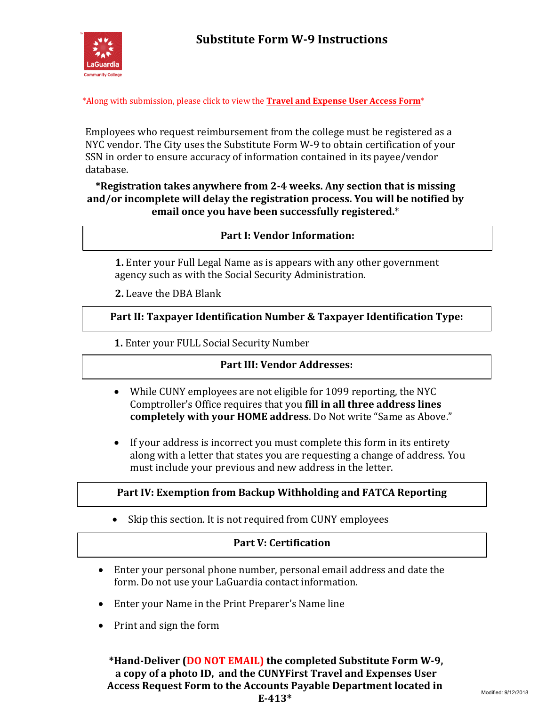

\*Along with submission, please click to view the **[Travel and Expense User Access Form](http://www.laguardia.edu/uploadedFiles/Main_Site/Content/Divisions/Administration/Business_Office/Accounts_Payable/Travel-Expense-Security-Access-Form-Instructions.pdf)**\*

Employees who request reimbursement from the college must be registered as a NYC vendor. The City uses the Substitute Form W-9 to obtain certification of your SSN in order to ensure accuracy of information contained in its payee/vendor database.

**\*Registration takes anywhere from 2-4 weeks. Any section that is missing and/or incomplete will delay the registration process. You will be notified by email once you have been successfully registered.**\*

## **Part I: Vendor Information:**

**1.** Enter your Full Legal Name as is appears with any other government agency such as with the Social Security Administration.

**2.** Leave the DBA Blank

**Part II: Taxpayer Identification Number & Taxpayer Identification Type:**

**1.** Enter your FULL Social Security Number

## **Part III: Vendor Addresses:**

- While CUNY employees are not eligible for 1099 reporting, the NYC Comptroller's Office requires that you **fill in all three address lines completely with your HOME address**. Do Not write "Same as Above."
- If your address is incorrect you must complete this form in its entirety along with a letter that states you are requesting a change of address. You must include your previous and new address in the letter.

## **Part IV: Exemption from Backup Withholding and FATCA Reporting**

• Skip this section. It is not required from CUNY employees.

## **Part V: Certification**

- Enter your personal phone number, personal email address and date the form. Do not use your LaGuardia contact information.
- Enter your Name in the Print Preparer's Name line
- Print and sign the form

**\*Hand-Deliver (DO NOT EMAIL) the completed Substitute Form W-9, a copy of a photo ID, and the CUNYFirst Travel and Expenses User Access Request Form to the Accounts Payable Department located in E-413\***